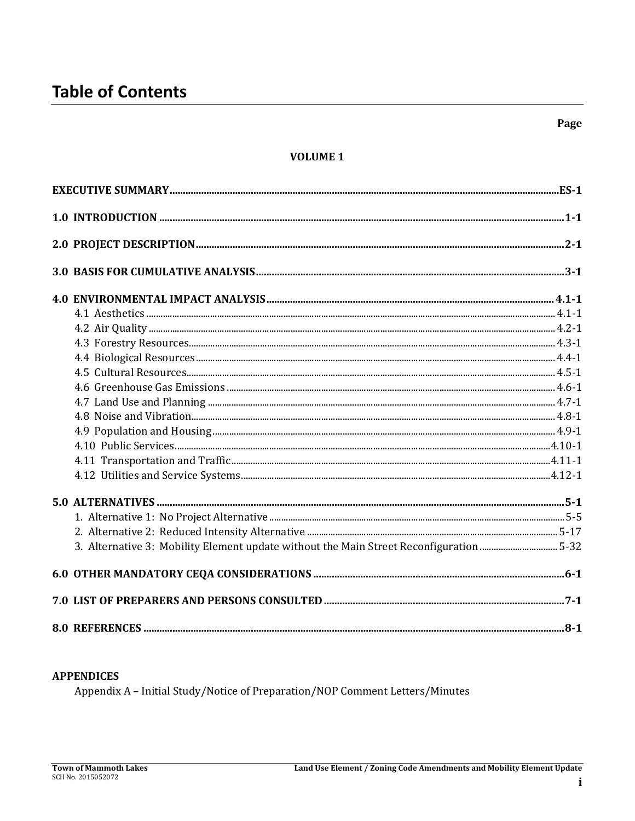## **VOLUME 1**

| 3. Alternative 3: Mobility Element update without the Main Street Reconfiguration 5-32 |  |
|----------------------------------------------------------------------------------------|--|
|                                                                                        |  |
|                                                                                        |  |
|                                                                                        |  |

#### **APPENDICES**

Appendix A - Initial Study/Notice of Preparation/NOP Comment Letters/Minutes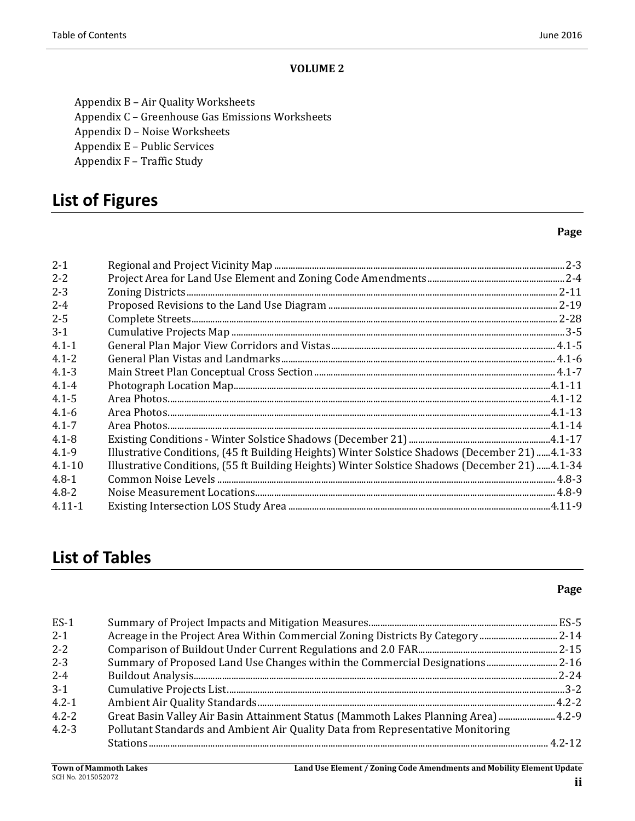#### **VOLUME 2**

Appendix B - Air Quality Worksheets

Appendix C - Greenhouse Gas Emissions Worksheets

Appendix D - Noise Worksheets

Appendix E - Public Services

Appendix F - Traffic Study

## **List of Figures**

#### **Page**

| $2 - 1$    |                                                                                                |  |
|------------|------------------------------------------------------------------------------------------------|--|
| $2 - 2$    |                                                                                                |  |
| $2 - 3$    |                                                                                                |  |
| $2 - 4$    |                                                                                                |  |
| $2 - 5$    |                                                                                                |  |
| $3-1$      |                                                                                                |  |
| $4.1 - 1$  |                                                                                                |  |
| $4.1 - 2$  |                                                                                                |  |
| $4.1 - 3$  |                                                                                                |  |
| $4.1 - 4$  |                                                                                                |  |
| $4.1 - 5$  |                                                                                                |  |
| $4.1 - 6$  |                                                                                                |  |
| $4.1 - 7$  |                                                                                                |  |
| $4.1 - 8$  |                                                                                                |  |
| $4.1 - 9$  | Illustrative Conditions, (45 ft Building Heights) Winter Solstice Shadows (December 21) 4.1-33 |  |
| $4.1 - 10$ | Illustrative Conditions, (55 ft Building Heights) Winter Solstice Shadows (December 21) 4.1-34 |  |
| $4.8 - 1$  |                                                                                                |  |
| $4.8 - 2$  |                                                                                                |  |
| $4.11 - 1$ |                                                                                                |  |

# **List of Tables**

| $ES-1$    |                                                                                 |  |
|-----------|---------------------------------------------------------------------------------|--|
| $2 - 1$   | Acreage in the Project Area Within Commercial Zoning Districts By Category 2-14 |  |
| $2 - 2$   |                                                                                 |  |
| $2 - 3$   | Summary of Proposed Land Use Changes within the Commercial Designations2-16     |  |
| $2 - 4$   |                                                                                 |  |
| $3-1$     |                                                                                 |  |
| $4.2 - 1$ |                                                                                 |  |
| $4.2 - 2$ |                                                                                 |  |
| $4.2 - 3$ | Pollutant Standards and Ambient Air Quality Data from Representative Monitoring |  |
|           |                                                                                 |  |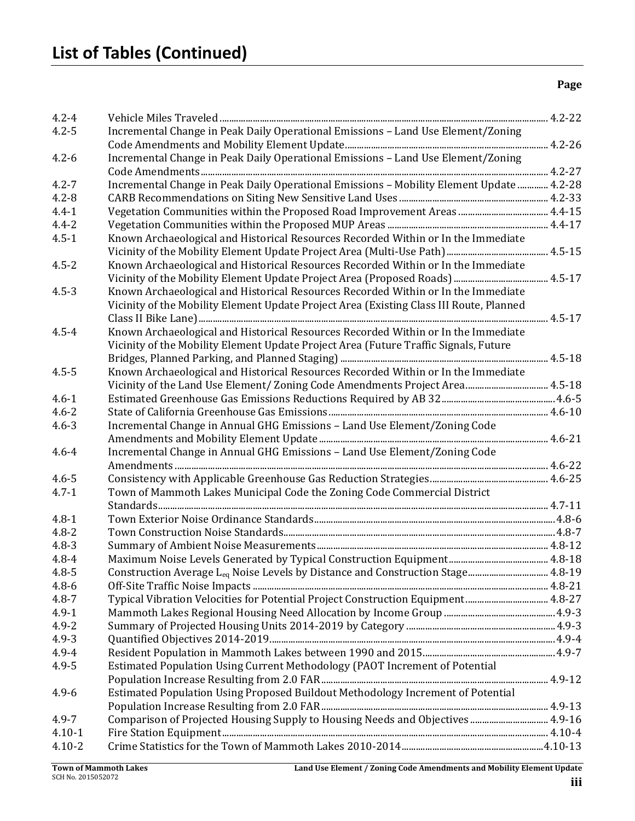| Incremental Change in Peak Daily Operational Emissions - Land Use Element/Zoning<br>$4.2 - 5$<br>Incremental Change in Peak Daily Operational Emissions - Land Use Element/Zoning<br>$4.2 - 6$<br>Incremental Change in Peak Daily Operational Emissions - Mobility Element Update  4.2-28<br>$4.2 - 7$<br>$4.2 - 8$<br>$4.4 - 1$<br>$4.4 - 2$<br>Known Archaeological and Historical Resources Recorded Within or In the Immediate<br>$4.5 - 1$<br>$4.5 - 2$<br>Known Archaeological and Historical Resources Recorded Within or In the Immediate<br>$4.5 - 3$<br>Known Archaeological and Historical Resources Recorded Within or In the Immediate<br>Vicinity of the Mobility Element Update Project Area (Existing Class III Route, Planned<br>Known Archaeological and Historical Resources Recorded Within or In the Immediate<br>$4.5 - 4$<br>Vicinity of the Mobility Element Update Project Area (Future Traffic Signals, Future<br>$4.5 - 5$<br>Known Archaeological and Historical Resources Recorded Within or In the Immediate<br>Vicinity of the Land Use Element/ Zoning Code Amendments Project Area 4.5-18<br>$4.6 - 1$<br>$4.6 - 2$<br>Incremental Change in Annual GHG Emissions - Land Use Element/Zoning Code<br>$4.6 - 3$<br>Incremental Change in Annual GHG Emissions - Land Use Element/Zoning Code<br>$4.6 - 4$<br>$4.6 - 5$<br>Town of Mammoth Lakes Municipal Code the Zoning Code Commercial District<br>$4.7 - 1$<br>$4.8 - 1$<br>$4.8 - 2$<br>$4.8 - 3$<br>$4.8 - 4$<br>Construction Average L <sub>eq</sub> Noise Levels by Distance and Construction Stage 4.8-19<br>$4.8 - 6$<br>Typical Vibration Velocities for Potential Project Construction Equipment 4.8-27<br>$4.8 - 7$<br>$4.9 - 1$<br>$4.9 - 2$<br>$4.9 - 3$<br>$4.9 - 4$<br>$4.9 - 5$<br>Estimated Population Using Current Methodology (PAOT Increment of Potential<br>Estimated Population Using Proposed Buildout Methodology Increment of Potential<br>$4.9 - 6$<br>Comparison of Projected Housing Supply to Housing Needs and Objectives 4.9-16<br>$4.9 - 7$<br>$4.10 - 1$<br>$4.10 - 2$ | $4.2 - 4$ |  |
|--------------------------------------------------------------------------------------------------------------------------------------------------------------------------------------------------------------------------------------------------------------------------------------------------------------------------------------------------------------------------------------------------------------------------------------------------------------------------------------------------------------------------------------------------------------------------------------------------------------------------------------------------------------------------------------------------------------------------------------------------------------------------------------------------------------------------------------------------------------------------------------------------------------------------------------------------------------------------------------------------------------------------------------------------------------------------------------------------------------------------------------------------------------------------------------------------------------------------------------------------------------------------------------------------------------------------------------------------------------------------------------------------------------------------------------------------------------------------------------------------------------------------------------------------------------------------------------------------------------------------------------------------------------------------------------------------------------------------------------------------------------------------------------------------------------------------------------------------------------------------------------------------------------------------------------------------------------------------------------------------------------------------------------------------------------------------------------------|-----------|--|
| $4.8 - 5$                                                                                                                                                                                                                                                                                                                                                                                                                                                                                                                                                                                                                                                                                                                                                                                                                                                                                                                                                                                                                                                                                                                                                                                                                                                                                                                                                                                                                                                                                                                                                                                                                                                                                                                                                                                                                                                                                                                                                                                                                                                                                  |           |  |
|                                                                                                                                                                                                                                                                                                                                                                                                                                                                                                                                                                                                                                                                                                                                                                                                                                                                                                                                                                                                                                                                                                                                                                                                                                                                                                                                                                                                                                                                                                                                                                                                                                                                                                                                                                                                                                                                                                                                                                                                                                                                                            |           |  |
|                                                                                                                                                                                                                                                                                                                                                                                                                                                                                                                                                                                                                                                                                                                                                                                                                                                                                                                                                                                                                                                                                                                                                                                                                                                                                                                                                                                                                                                                                                                                                                                                                                                                                                                                                                                                                                                                                                                                                                                                                                                                                            |           |  |
|                                                                                                                                                                                                                                                                                                                                                                                                                                                                                                                                                                                                                                                                                                                                                                                                                                                                                                                                                                                                                                                                                                                                                                                                                                                                                                                                                                                                                                                                                                                                                                                                                                                                                                                                                                                                                                                                                                                                                                                                                                                                                            |           |  |
|                                                                                                                                                                                                                                                                                                                                                                                                                                                                                                                                                                                                                                                                                                                                                                                                                                                                                                                                                                                                                                                                                                                                                                                                                                                                                                                                                                                                                                                                                                                                                                                                                                                                                                                                                                                                                                                                                                                                                                                                                                                                                            |           |  |
|                                                                                                                                                                                                                                                                                                                                                                                                                                                                                                                                                                                                                                                                                                                                                                                                                                                                                                                                                                                                                                                                                                                                                                                                                                                                                                                                                                                                                                                                                                                                                                                                                                                                                                                                                                                                                                                                                                                                                                                                                                                                                            |           |  |
|                                                                                                                                                                                                                                                                                                                                                                                                                                                                                                                                                                                                                                                                                                                                                                                                                                                                                                                                                                                                                                                                                                                                                                                                                                                                                                                                                                                                                                                                                                                                                                                                                                                                                                                                                                                                                                                                                                                                                                                                                                                                                            |           |  |
|                                                                                                                                                                                                                                                                                                                                                                                                                                                                                                                                                                                                                                                                                                                                                                                                                                                                                                                                                                                                                                                                                                                                                                                                                                                                                                                                                                                                                                                                                                                                                                                                                                                                                                                                                                                                                                                                                                                                                                                                                                                                                            |           |  |
|                                                                                                                                                                                                                                                                                                                                                                                                                                                                                                                                                                                                                                                                                                                                                                                                                                                                                                                                                                                                                                                                                                                                                                                                                                                                                                                                                                                                                                                                                                                                                                                                                                                                                                                                                                                                                                                                                                                                                                                                                                                                                            |           |  |
|                                                                                                                                                                                                                                                                                                                                                                                                                                                                                                                                                                                                                                                                                                                                                                                                                                                                                                                                                                                                                                                                                                                                                                                                                                                                                                                                                                                                                                                                                                                                                                                                                                                                                                                                                                                                                                                                                                                                                                                                                                                                                            |           |  |
|                                                                                                                                                                                                                                                                                                                                                                                                                                                                                                                                                                                                                                                                                                                                                                                                                                                                                                                                                                                                                                                                                                                                                                                                                                                                                                                                                                                                                                                                                                                                                                                                                                                                                                                                                                                                                                                                                                                                                                                                                                                                                            |           |  |
|                                                                                                                                                                                                                                                                                                                                                                                                                                                                                                                                                                                                                                                                                                                                                                                                                                                                                                                                                                                                                                                                                                                                                                                                                                                                                                                                                                                                                                                                                                                                                                                                                                                                                                                                                                                                                                                                                                                                                                                                                                                                                            |           |  |
|                                                                                                                                                                                                                                                                                                                                                                                                                                                                                                                                                                                                                                                                                                                                                                                                                                                                                                                                                                                                                                                                                                                                                                                                                                                                                                                                                                                                                                                                                                                                                                                                                                                                                                                                                                                                                                                                                                                                                                                                                                                                                            |           |  |
|                                                                                                                                                                                                                                                                                                                                                                                                                                                                                                                                                                                                                                                                                                                                                                                                                                                                                                                                                                                                                                                                                                                                                                                                                                                                                                                                                                                                                                                                                                                                                                                                                                                                                                                                                                                                                                                                                                                                                                                                                                                                                            |           |  |
|                                                                                                                                                                                                                                                                                                                                                                                                                                                                                                                                                                                                                                                                                                                                                                                                                                                                                                                                                                                                                                                                                                                                                                                                                                                                                                                                                                                                                                                                                                                                                                                                                                                                                                                                                                                                                                                                                                                                                                                                                                                                                            |           |  |
|                                                                                                                                                                                                                                                                                                                                                                                                                                                                                                                                                                                                                                                                                                                                                                                                                                                                                                                                                                                                                                                                                                                                                                                                                                                                                                                                                                                                                                                                                                                                                                                                                                                                                                                                                                                                                                                                                                                                                                                                                                                                                            |           |  |
|                                                                                                                                                                                                                                                                                                                                                                                                                                                                                                                                                                                                                                                                                                                                                                                                                                                                                                                                                                                                                                                                                                                                                                                                                                                                                                                                                                                                                                                                                                                                                                                                                                                                                                                                                                                                                                                                                                                                                                                                                                                                                            |           |  |
|                                                                                                                                                                                                                                                                                                                                                                                                                                                                                                                                                                                                                                                                                                                                                                                                                                                                                                                                                                                                                                                                                                                                                                                                                                                                                                                                                                                                                                                                                                                                                                                                                                                                                                                                                                                                                                                                                                                                                                                                                                                                                            |           |  |
|                                                                                                                                                                                                                                                                                                                                                                                                                                                                                                                                                                                                                                                                                                                                                                                                                                                                                                                                                                                                                                                                                                                                                                                                                                                                                                                                                                                                                                                                                                                                                                                                                                                                                                                                                                                                                                                                                                                                                                                                                                                                                            |           |  |
|                                                                                                                                                                                                                                                                                                                                                                                                                                                                                                                                                                                                                                                                                                                                                                                                                                                                                                                                                                                                                                                                                                                                                                                                                                                                                                                                                                                                                                                                                                                                                                                                                                                                                                                                                                                                                                                                                                                                                                                                                                                                                            |           |  |
|                                                                                                                                                                                                                                                                                                                                                                                                                                                                                                                                                                                                                                                                                                                                                                                                                                                                                                                                                                                                                                                                                                                                                                                                                                                                                                                                                                                                                                                                                                                                                                                                                                                                                                                                                                                                                                                                                                                                                                                                                                                                                            |           |  |
|                                                                                                                                                                                                                                                                                                                                                                                                                                                                                                                                                                                                                                                                                                                                                                                                                                                                                                                                                                                                                                                                                                                                                                                                                                                                                                                                                                                                                                                                                                                                                                                                                                                                                                                                                                                                                                                                                                                                                                                                                                                                                            |           |  |
|                                                                                                                                                                                                                                                                                                                                                                                                                                                                                                                                                                                                                                                                                                                                                                                                                                                                                                                                                                                                                                                                                                                                                                                                                                                                                                                                                                                                                                                                                                                                                                                                                                                                                                                                                                                                                                                                                                                                                                                                                                                                                            |           |  |
|                                                                                                                                                                                                                                                                                                                                                                                                                                                                                                                                                                                                                                                                                                                                                                                                                                                                                                                                                                                                                                                                                                                                                                                                                                                                                                                                                                                                                                                                                                                                                                                                                                                                                                                                                                                                                                                                                                                                                                                                                                                                                            |           |  |
|                                                                                                                                                                                                                                                                                                                                                                                                                                                                                                                                                                                                                                                                                                                                                                                                                                                                                                                                                                                                                                                                                                                                                                                                                                                                                                                                                                                                                                                                                                                                                                                                                                                                                                                                                                                                                                                                                                                                                                                                                                                                                            |           |  |
|                                                                                                                                                                                                                                                                                                                                                                                                                                                                                                                                                                                                                                                                                                                                                                                                                                                                                                                                                                                                                                                                                                                                                                                                                                                                                                                                                                                                                                                                                                                                                                                                                                                                                                                                                                                                                                                                                                                                                                                                                                                                                            |           |  |
|                                                                                                                                                                                                                                                                                                                                                                                                                                                                                                                                                                                                                                                                                                                                                                                                                                                                                                                                                                                                                                                                                                                                                                                                                                                                                                                                                                                                                                                                                                                                                                                                                                                                                                                                                                                                                                                                                                                                                                                                                                                                                            |           |  |
|                                                                                                                                                                                                                                                                                                                                                                                                                                                                                                                                                                                                                                                                                                                                                                                                                                                                                                                                                                                                                                                                                                                                                                                                                                                                                                                                                                                                                                                                                                                                                                                                                                                                                                                                                                                                                                                                                                                                                                                                                                                                                            |           |  |
|                                                                                                                                                                                                                                                                                                                                                                                                                                                                                                                                                                                                                                                                                                                                                                                                                                                                                                                                                                                                                                                                                                                                                                                                                                                                                                                                                                                                                                                                                                                                                                                                                                                                                                                                                                                                                                                                                                                                                                                                                                                                                            |           |  |
|                                                                                                                                                                                                                                                                                                                                                                                                                                                                                                                                                                                                                                                                                                                                                                                                                                                                                                                                                                                                                                                                                                                                                                                                                                                                                                                                                                                                                                                                                                                                                                                                                                                                                                                                                                                                                                                                                                                                                                                                                                                                                            |           |  |
|                                                                                                                                                                                                                                                                                                                                                                                                                                                                                                                                                                                                                                                                                                                                                                                                                                                                                                                                                                                                                                                                                                                                                                                                                                                                                                                                                                                                                                                                                                                                                                                                                                                                                                                                                                                                                                                                                                                                                                                                                                                                                            |           |  |
|                                                                                                                                                                                                                                                                                                                                                                                                                                                                                                                                                                                                                                                                                                                                                                                                                                                                                                                                                                                                                                                                                                                                                                                                                                                                                                                                                                                                                                                                                                                                                                                                                                                                                                                                                                                                                                                                                                                                                                                                                                                                                            |           |  |
|                                                                                                                                                                                                                                                                                                                                                                                                                                                                                                                                                                                                                                                                                                                                                                                                                                                                                                                                                                                                                                                                                                                                                                                                                                                                                                                                                                                                                                                                                                                                                                                                                                                                                                                                                                                                                                                                                                                                                                                                                                                                                            |           |  |
|                                                                                                                                                                                                                                                                                                                                                                                                                                                                                                                                                                                                                                                                                                                                                                                                                                                                                                                                                                                                                                                                                                                                                                                                                                                                                                                                                                                                                                                                                                                                                                                                                                                                                                                                                                                                                                                                                                                                                                                                                                                                                            |           |  |
|                                                                                                                                                                                                                                                                                                                                                                                                                                                                                                                                                                                                                                                                                                                                                                                                                                                                                                                                                                                                                                                                                                                                                                                                                                                                                                                                                                                                                                                                                                                                                                                                                                                                                                                                                                                                                                                                                                                                                                                                                                                                                            |           |  |
|                                                                                                                                                                                                                                                                                                                                                                                                                                                                                                                                                                                                                                                                                                                                                                                                                                                                                                                                                                                                                                                                                                                                                                                                                                                                                                                                                                                                                                                                                                                                                                                                                                                                                                                                                                                                                                                                                                                                                                                                                                                                                            |           |  |
|                                                                                                                                                                                                                                                                                                                                                                                                                                                                                                                                                                                                                                                                                                                                                                                                                                                                                                                                                                                                                                                                                                                                                                                                                                                                                                                                                                                                                                                                                                                                                                                                                                                                                                                                                                                                                                                                                                                                                                                                                                                                                            |           |  |
|                                                                                                                                                                                                                                                                                                                                                                                                                                                                                                                                                                                                                                                                                                                                                                                                                                                                                                                                                                                                                                                                                                                                                                                                                                                                                                                                                                                                                                                                                                                                                                                                                                                                                                                                                                                                                                                                                                                                                                                                                                                                                            |           |  |
|                                                                                                                                                                                                                                                                                                                                                                                                                                                                                                                                                                                                                                                                                                                                                                                                                                                                                                                                                                                                                                                                                                                                                                                                                                                                                                                                                                                                                                                                                                                                                                                                                                                                                                                                                                                                                                                                                                                                                                                                                                                                                            |           |  |
|                                                                                                                                                                                                                                                                                                                                                                                                                                                                                                                                                                                                                                                                                                                                                                                                                                                                                                                                                                                                                                                                                                                                                                                                                                                                                                                                                                                                                                                                                                                                                                                                                                                                                                                                                                                                                                                                                                                                                                                                                                                                                            |           |  |
|                                                                                                                                                                                                                                                                                                                                                                                                                                                                                                                                                                                                                                                                                                                                                                                                                                                                                                                                                                                                                                                                                                                                                                                                                                                                                                                                                                                                                                                                                                                                                                                                                                                                                                                                                                                                                                                                                                                                                                                                                                                                                            |           |  |
|                                                                                                                                                                                                                                                                                                                                                                                                                                                                                                                                                                                                                                                                                                                                                                                                                                                                                                                                                                                                                                                                                                                                                                                                                                                                                                                                                                                                                                                                                                                                                                                                                                                                                                                                                                                                                                                                                                                                                                                                                                                                                            |           |  |
|                                                                                                                                                                                                                                                                                                                                                                                                                                                                                                                                                                                                                                                                                                                                                                                                                                                                                                                                                                                                                                                                                                                                                                                                                                                                                                                                                                                                                                                                                                                                                                                                                                                                                                                                                                                                                                                                                                                                                                                                                                                                                            |           |  |
|                                                                                                                                                                                                                                                                                                                                                                                                                                                                                                                                                                                                                                                                                                                                                                                                                                                                                                                                                                                                                                                                                                                                                                                                                                                                                                                                                                                                                                                                                                                                                                                                                                                                                                                                                                                                                                                                                                                                                                                                                                                                                            |           |  |
|                                                                                                                                                                                                                                                                                                                                                                                                                                                                                                                                                                                                                                                                                                                                                                                                                                                                                                                                                                                                                                                                                                                                                                                                                                                                                                                                                                                                                                                                                                                                                                                                                                                                                                                                                                                                                                                                                                                                                                                                                                                                                            |           |  |
|                                                                                                                                                                                                                                                                                                                                                                                                                                                                                                                                                                                                                                                                                                                                                                                                                                                                                                                                                                                                                                                                                                                                                                                                                                                                                                                                                                                                                                                                                                                                                                                                                                                                                                                                                                                                                                                                                                                                                                                                                                                                                            |           |  |